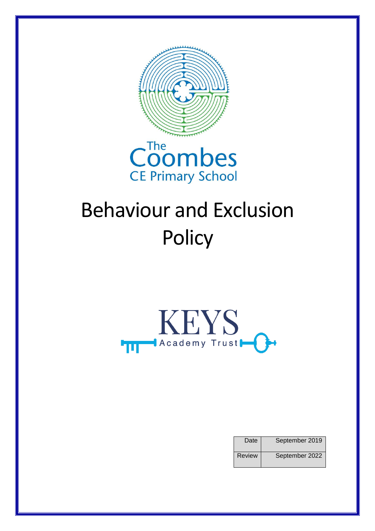



# Behaviour and Exclusion **Policy**



| Date          | September 2019 |
|---------------|----------------|
| <b>Review</b> | September 2022 |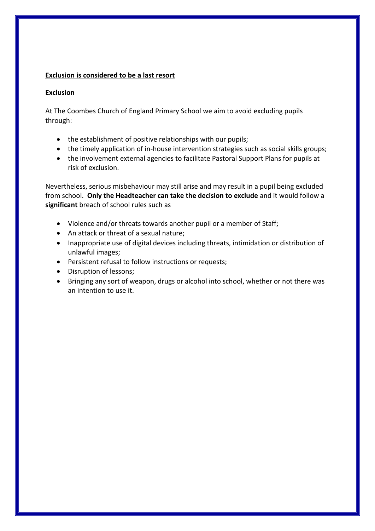## **Exclusion is considered to be a last resort**

#### **Exclusion**

At The Coombes Church of England Primary School we aim to avoid excluding pupils through:

- the establishment of positive relationships with our pupils;
- the timely application of in-house intervention strategies such as social skills groups;
- the involvement external agencies to facilitate Pastoral Support Plans for pupils at risk of exclusion.

Nevertheless, serious misbehaviour may still arise and may result in a pupil being excluded from school. **Only the Headteacher can take the decision to exclude** and it would follow a **significant** breach of school rules such as

- Violence and/or threats towards another pupil or a member of Staff;
- An attack or threat of a sexual nature;
- Inappropriate use of digital devices including threats, intimidation or distribution of unlawful images;
- Persistent refusal to follow instructions or requests;
- Disruption of lessons;
- Bringing any sort of weapon, drugs or alcohol into school, whether or not there was an intention to use it.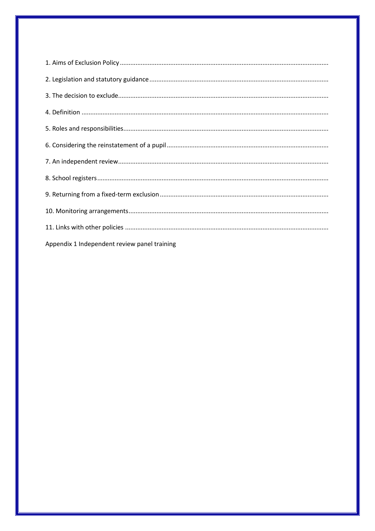| Appendix 1 Independent review panel training |
|----------------------------------------------|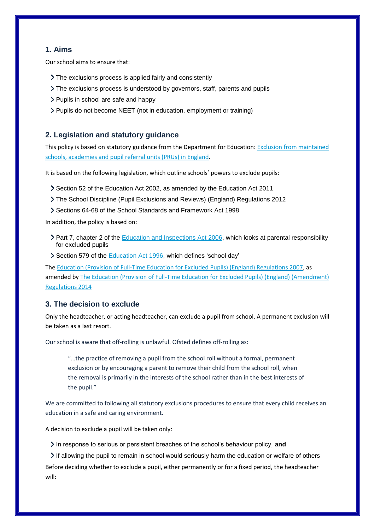# **1. Aims**

Our school aims to ensure that:

- The exclusions process is applied fairly and consistently
- The exclusions process is understood by governors, staff, parents and pupils
- > Pupils in school are safe and happy
- Pupils do not become NEET (not in education, employment or training)

#### **2. Legislation and statutory guidance**

This policy is based on statutory guidance from the Department for Education[: Exclusion from maintained](https://www.gov.uk/government/publications/school-exclusion)  [schools, academies and pupil referral units \(PRUs\) in England.](https://www.gov.uk/government/publications/school-exclusion)

It is based on the following legislation, which outline schools' powers to exclude pupils:

- Section 52 of the [Education Act 2002,](http://www.legislation.gov.uk/ukpga/2002/32/section/52) as amended by the [Education Act 2011](http://www.legislation.gov.uk/ukpga/2011/21/contents/enacted)
- [The School Discipline \(Pupil Exclusions and Reviews\) \(England\) Regulations 2012](http://www.legislation.gov.uk/uksi/2012/1033/made)
- Sections 64-68 of the [School Standards and Framework Act 1998](http://www.legislation.gov.uk/ukpga/1998/31)

In addition, the policy is based on:

- Part 7, chapter 2 of the [Education and Inspections Act 2006,](http://www.legislation.gov.uk/ukpga/2006/40/part/7/chapter/2) which looks at parental responsibility for excluded pupils
- Section 579 of the [Education Act 1996,](http://www.legislation.gov.uk/ukpga/1996/56/section/579) which defines 'school day'

The [Education \(Provision of Full-Time Education for Excluded Pupils\) \(England\) Regulations 2007,](http://www.legislation.gov.uk/uksi/2007/1870/contents/made) as amended by The Education (Provision of Full-Time Education for Excluded Pupils) (England) (Amendment) [Regulations 2014](http://www.legislation.gov.uk/uksi/2014/3216/contents/made)

## **3. The decision to exclude**

Only the headteacher, or acting headteacher, can exclude a pupil from school. A permanent exclusion will be taken as a last resort.

Our school is aware that off-rolling is unlawful. Ofsted defines off-rolling as:

"…the practice of removing a pupil from the school roll without a formal, permanent exclusion or by encouraging a parent to remove their child from the school roll, when the removal is primarily in the interests of the school rather than in the best interests of the pupil."

We are committed to following all statutory exclusions procedures to ensure that every child receives an education in a safe and caring environment.

A decision to exclude a pupil will be taken only:

In response to serious or persistent breaches of the school's behaviour policy, **and**

If allowing the pupil to remain in school would seriously harm the education or welfare of others

Before deciding whether to exclude a pupil, either permanently or for a fixed period, the headteacher will: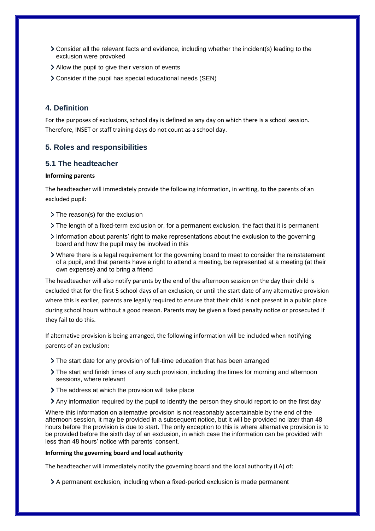- Consider all the relevant facts and evidence, including whether the incident(s) leading to the exclusion were provoked
- Allow the pupil to give their version of events
- Consider if the pupil has special educational needs (SEN)

## **4. Definition**

For the purposes of exclusions, school day is defined as any day on which there is a school session. Therefore, INSET or staff training days do not count as a school day.

## **5. Roles and responsibilities**

#### **5.1 The headteacher**

#### **Informing parents**

The headteacher will immediately provide the following information, in writing, to the parents of an excluded pupil:

- > The reason(s) for the exclusion
- The length of a fixed-term exclusion or, for a permanent exclusion, the fact that it is permanent
- Information about parents' right to make representations about the exclusion to the governing board and how the pupil may be involved in this
- Where there is a legal requirement for the governing board to meet to consider the reinstatement of a pupil, and that parents have a right to attend a meeting, be represented at a meeting (at their own expense) and to bring a friend

The headteacher will also notify parents by the end of the afternoon session on the day their child is excluded that for the first 5 school days of an exclusion, or until the start date of any alternative provision where this is earlier, parents are legally required to ensure that their child is not present in a public place during school hours without a good reason. Parents may be given a fixed penalty notice or prosecuted if they fail to do this.

If alternative provision is being arranged, the following information will be included when notifying parents of an exclusion:

- The start date for any provision of full-time education that has been arranged
- The start and finish times of any such provision, including the times for morning and afternoon sessions, where relevant
- > The address at which the provision will take place
- Any information required by the pupil to identify the person they should report to on the first day

Where this information on alternative provision is not reasonably ascertainable by the end of the afternoon session, it may be provided in a subsequent notice, but it will be provided no later than 48 hours before the provision is due to start. The only exception to this is where alternative provision is to be provided before the sixth day of an exclusion, in which case the information can be provided with less than 48 hours' notice with parents' consent.

#### **Informing the governing board and local authority**

The headteacher will immediately notify the governing board and the local authority (LA) of:

A permanent exclusion, including when a fixed-period exclusion is made permanent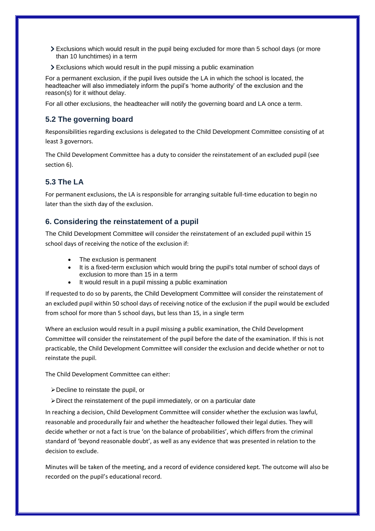- Exclusions which would result in the pupil being excluded for more than 5 school days (or more than 10 lunchtimes) in a term
- Exclusions which would result in the pupil missing a public examination

For a permanent exclusion, if the pupil lives outside the LA in which the school is located, the headteacher will also immediately inform the pupil's 'home authority' of the exclusion and the reason(s) for it without delay.

For all other exclusions, the headteacher will notify the governing board and LA once a term.

## **5.2 The governing board**

Responsibilities regarding exclusions is delegated to the Child Development Committee consisting of at least 3 governors.

The Child Development Committee has a duty to consider the reinstatement of an excluded pupil (see section 6).

# **5.3 The LA**

For permanent exclusions, the LA is responsible for arranging suitable full-time education to begin no later than the sixth day of the exclusion.

## **6. Considering the reinstatement of a pupil**

The Child Development Committee will consider the reinstatement of an excluded pupil within 15 school days of receiving the notice of the exclusion if:

- The exclusion is permanent
- It is a fixed-term exclusion which would bring the pupil's total number of school days of exclusion to more than 15 in a term
- It would result in a pupil missing a public examination

If requested to do so by parents, the Child Development Committee will consider the reinstatement of an excluded pupil within 50 school days of receiving notice of the exclusion if the pupil would be excluded from school for more than 5 school days, but less than 15, in a single term

Where an exclusion would result in a pupil missing a public examination, the Child Development Committee will consider the reinstatement of the pupil before the date of the examination. If this is not practicable, the Child Development Committee will consider the exclusion and decide whether or not to reinstate the pupil.

The Child Development Committee can either:

- Decline to reinstate the pupil, or
- $\triangleright$  Direct the reinstatement of the pupil immediately, or on a particular date

In reaching a decision, Child Development Committee will consider whether the exclusion was lawful, reasonable and procedurally fair and whether the headteacher followed their legal duties. They will decide whether or not a fact is true 'on the balance of probabilities', which differs from the criminal standard of 'beyond reasonable doubt', as well as any evidence that was presented in relation to the decision to exclude.

Minutes will be taken of the meeting, and a record of evidence considered kept. The outcome will also be recorded on the pupil's educational record.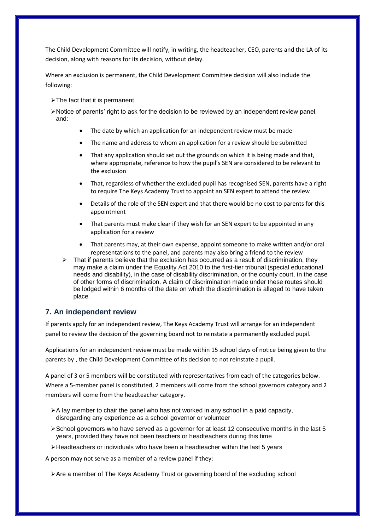The Child Development Committee will notify, in writing, the headteacher, CEO, parents and the LA of its decision, along with reasons for its decision, without delay.

Where an exclusion is permanent, the Child Development Committee decision will also include the following:

- > The fact that it is permanent
- $\triangleright$  Notice of parents' right to ask for the decision to be reviewed by an independent review panel, and:
	- The date by which an application for an independent review must be made
	- The name and address to whom an application for a review should be submitted
	- That any application should set out the grounds on which it is being made and that, where appropriate, reference to how the pupil's SEN are considered to be relevant to the exclusion
	- That, regardless of whether the excluded pupil has recognised SEN, parents have a right to require The Keys Academy Trust to appoint an SEN expert to attend the review
	- Details of the role of the SEN expert and that there would be no cost to parents for this appointment
	- That parents must make clear if they wish for an SEN expert to be appointed in any application for a review
	- That parents may, at their own expense, appoint someone to make written and/or oral representations to the panel, and parents may also bring a friend to the review
	- That if parents believe that the exclusion has occurred as a result of discrimination, they may make a claim under the Equality Act 2010 to the first-tier tribunal (special educational needs and disability), in the case of disability discrimination, or the county court, in the case of other forms of discrimination. A claim of discrimination made under these routes should be lodged within 6 months of the date on which the discrimination is alleged to have taken place.

#### **7. An independent review**

If parents apply for an independent review, The Keys Academy Trust will arrange for an independent panel to review the decision of the governing board not to reinstate a permanently excluded pupil.

Applications for an independent review must be made within 15 school days of notice being given to the parents by , the Child Development Committee of its decision to not reinstate a pupil.

A panel of 3 or 5 members will be constituted with representatives from each of the categories below. Where a 5-member panel is constituted, 2 members will come from the school governors category and 2 members will come from the headteacher category.

- $\triangleright$  A lay member to chair the panel who has not worked in any school in a paid capacity, disregarding any experience as a school governor or volunteer
- $\triangleright$  School governors who have served as a governor for at least 12 consecutive months in the last 5 years, provided they have not been teachers or headteachers during this time
- $\blacktriangleright$  Headteachers or individuals who have been a headteacher within the last 5 years

A person may not serve as a member of a review panel if they:

 $\triangleright$  Are a member of The Keys Academy Trust or governing board of the excluding school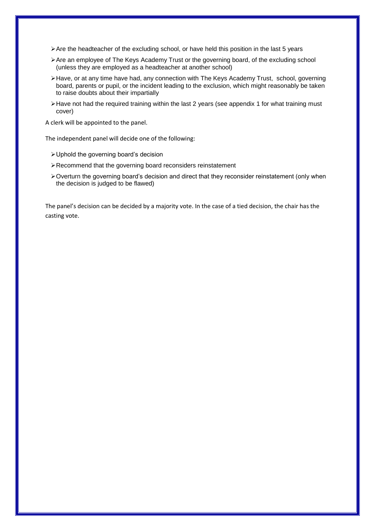- Are the headteacher of the excluding school, or have held this position in the last 5 years
- Are an employee of The Keys Academy Trust or the governing board, of the excluding school (unless they are employed as a headteacher at another school)
- Have, or at any time have had, any connection with The Keys Academy Trust, school, governing board, parents or pupil, or the incident leading to the exclusion, which might reasonably be taken to raise doubts about their impartially
- $\blacktriangleright$  Have not had the required training within the last 2 years (see appendix 1 for what training must cover)

A clerk will be appointed to the panel.

The independent panel will decide one of the following:

- Uphold the governing board's decision
- Recommend that the governing board reconsiders reinstatement
- Overturn the governing board's decision and direct that they reconsider reinstatement (only when the decision is judged to be flawed)

The panel's decision can be decided by a majority vote. In the case of a tied decision, the chair has the casting vote.